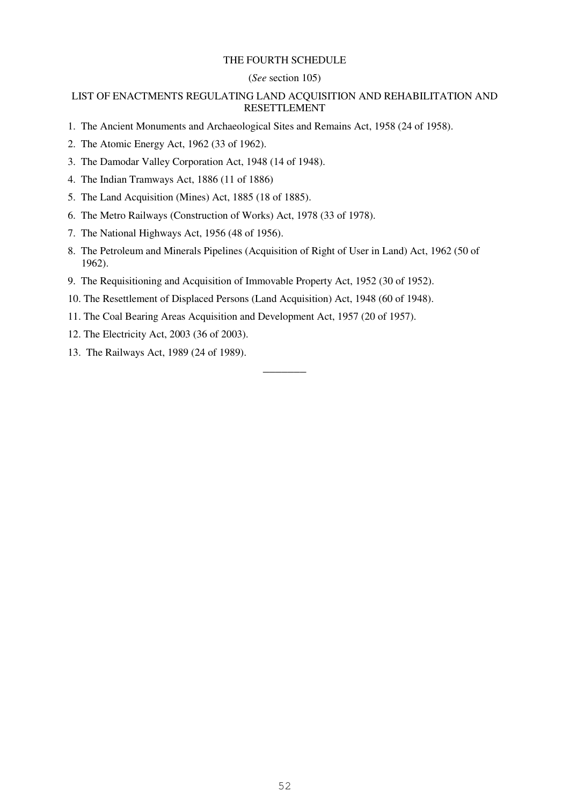### THE FOURTH SCHEDULE

## (*See* section 105)

# LIST OF ENACTMENTS REGULATING LAND ACQUISITION AND REHABILITATION AND RESETTLEMENT

- 1. The Ancient Monuments and Archaeological Sites and Remains Act, 1958 (24 of 1958).
- 2. The Atomic Energy Act, 1962 (33 of 1962).
- 3. The Damodar Valley Corporation Act, 1948 (14 of 1948).
- 4. The Indian Tramways Act, 1886 (11 of 1886)
- 5. The Land Acquisition (Mines) Act, 1885 (18 of 1885).
- 6. The Metro Railways (Construction of Works) Act, 1978 (33 of 1978).
- 7. The National Highways Act, 1956 (48 of 1956).
- 8. The Petroleum and Minerals Pipelines (Acquisition of Right of User in Land) Act, 1962 (50 of 1962).

–––––––

- 9. The Requisitioning and Acquisition of Immovable Property Act, 1952 (30 of 1952).
- 10. The Resettlement of Displaced Persons (Land Acquisition) Act, 1948 (60 of 1948).
- 11. The Coal Bearing Areas Acquisition and Development Act, 1957 (20 of 1957).
- 12. The Electricity Act, 2003 (36 of 2003).
- 13. The Railways Act, 1989 (24 of 1989).

52